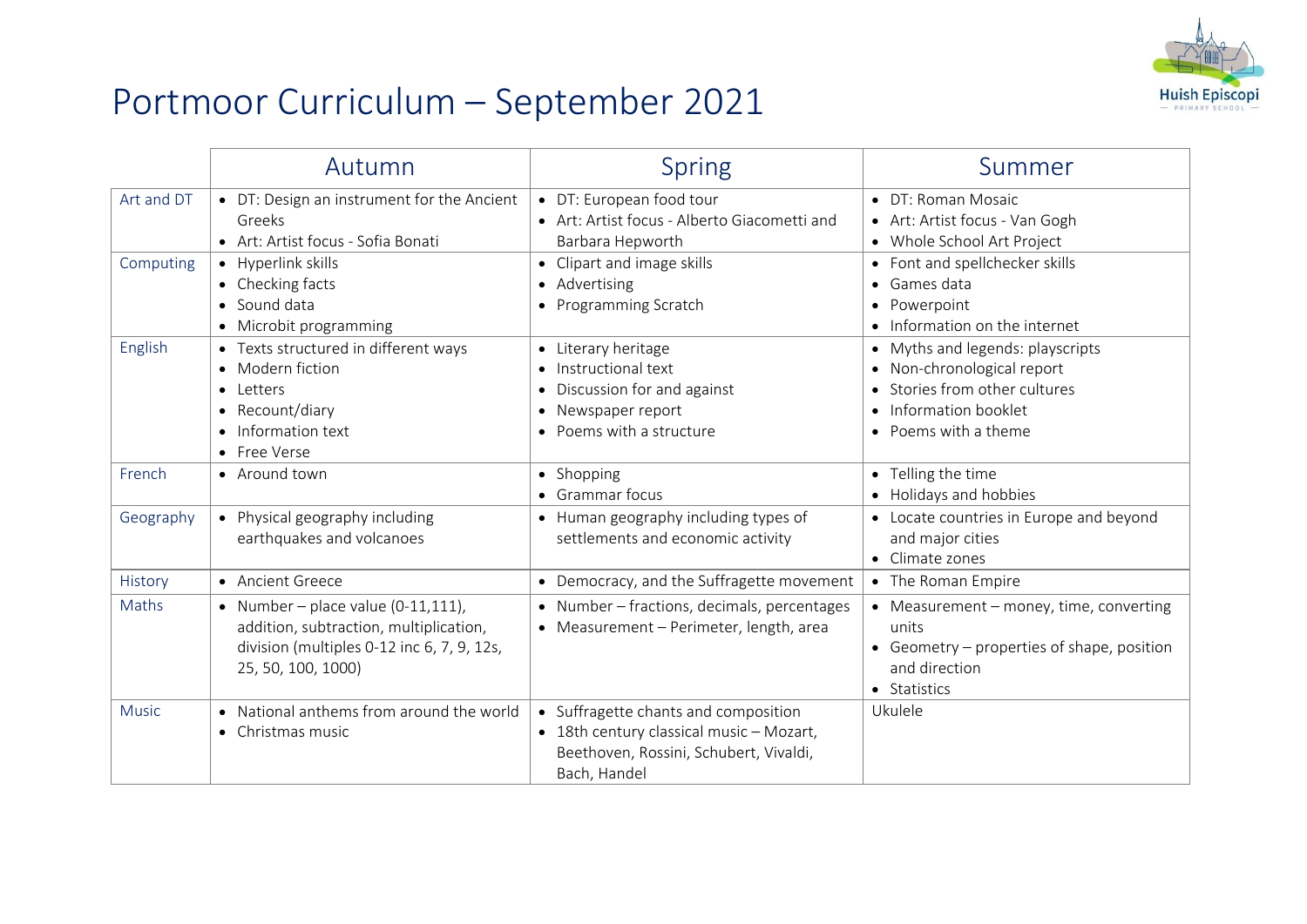

## Portmoor Curriculum – September 2021

|              | Autumn                                                                                                                                              | <b>Spring</b>                                                                                                                              | Summer                                                                                                                                       |
|--------------|-----------------------------------------------------------------------------------------------------------------------------------------------------|--------------------------------------------------------------------------------------------------------------------------------------------|----------------------------------------------------------------------------------------------------------------------------------------------|
| Art and DT   | • DT: Design an instrument for the Ancient<br>Greeks<br>• Art: Artist focus - Sofia Bonati                                                          | • DT: European food tour<br>• Art: Artist focus - Alberto Giacometti and<br>Barbara Hepworth                                               | $\bullet$ DT: Roman Mosaic<br>• Art: Artist focus - Van Gogh<br>• Whole School Art Project                                                   |
| Computing    | • Hyperlink skills<br>• Checking facts<br>• Sound data<br>• Microbit programming                                                                    | • Clipart and image skills<br>• Advertising<br>• Programming Scratch                                                                       | • Font and spellchecker skills<br>$\bullet$ Games data<br>Powerpoint<br>• Information on the internet                                        |
| English      | • Texts structured in different ways<br>• Modern fiction<br>• Letters<br>• Recount/diary<br>• Information text<br>• Free Verse                      | • Literary heritage<br>• Instructional text<br>Discussion for and against<br>$\bullet$<br>Newspaper report<br>• Poems with a structure     | • Myths and legends: playscripts<br>• Non-chronological report<br>Stories from other cultures<br>Information booklet<br>• Poems with a theme |
| French       | • Around town                                                                                                                                       | • Shopping<br>• Grammar focus                                                                                                              | • Telling the time<br>• Holidays and hobbies                                                                                                 |
| Geography    | • Physical geography including<br>earthquakes and volcanoes                                                                                         | • Human geography including types of<br>settlements and economic activity                                                                  | • Locate countries in Europe and beyond<br>and major cities<br>• Climate zones                                                               |
| History      | • Ancient Greece                                                                                                                                    | • Democracy, and the Suffragette movement                                                                                                  | • The Roman Empire                                                                                                                           |
| Maths        | • Number – place value $(0-11,111)$ ,<br>addition, subtraction, multiplication,<br>division (multiples 0-12 inc 6, 7, 9, 12s,<br>25, 50, 100, 1000) | • Number - fractions, decimals, percentages<br>• Measurement - Perimeter, length, area                                                     | • Measurement - money, time, converting<br>units<br>• Geometry – properties of shape, position<br>and direction<br>• Statistics              |
| <b>Music</b> | • National anthems from around the world<br>• Christmas music                                                                                       | • Suffragette chants and composition<br>• 18th century classical music - Mozart,<br>Beethoven, Rossini, Schubert, Vivaldi,<br>Bach, Handel | Ukulele                                                                                                                                      |